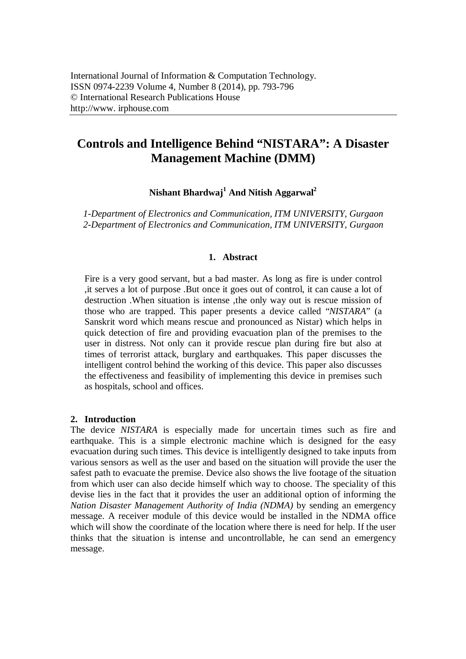# **Controls and Intelligence Behind "NISTARA": A Disaster Management Machine (DMM)**

**Nishant Bhardwaj<sup>1</sup> And Nitish Aggarwal<sup>2</sup>**

*1-Department of Electronics and Communication, ITM UNIVERSITY, Gurgaon 2-Department of Electronics and Communication, ITM UNIVERSITY, Gurgaon*

# **1. Abstract**

Fire is a very good servant, but a bad master. As long as fire is under control ,it serves a lot of purpose .But once it goes out of control, it can cause a lot of destruction .When situation is intense ,the only way out is rescue mission of those who are trapped. This paper presents a device called "*NISTARA*" (a Sanskrit word which means rescue and pronounced as Nistar) which helps in quick detection of fire and providing evacuation plan of the premises to the user in distress. Not only can it provide rescue plan during fire but also at times of terrorist attack, burglary and earthquakes. This paper discusses the intelligent control behind the working of this device. This paper also discusses the effectiveness and feasibility of implementing this device in premises such as hospitals, school and offices.

## **2. Introduction**

The device *NISTARA* is especially made for uncertain times such as fire and earthquake. This is a simple electronic machine which is designed for the easy evacuation during such times. This device is intelligently designed to take inputs from various sensors as well as the user and based on the situation will provide the user the safest path to evacuate the premise. Device also shows the live footage of the situation from which user can also decide himself which way to choose. The speciality of this devise lies in the fact that it provides the user an additional option of informing the *Nation Disaster Management Authority of India (NDMA)* by sending an emergency message. A receiver module of this device would be installed in the NDMA office which will show the coordinate of the location where there is need for help. If the user thinks that the situation is intense and uncontrollable, he can send an emergency message.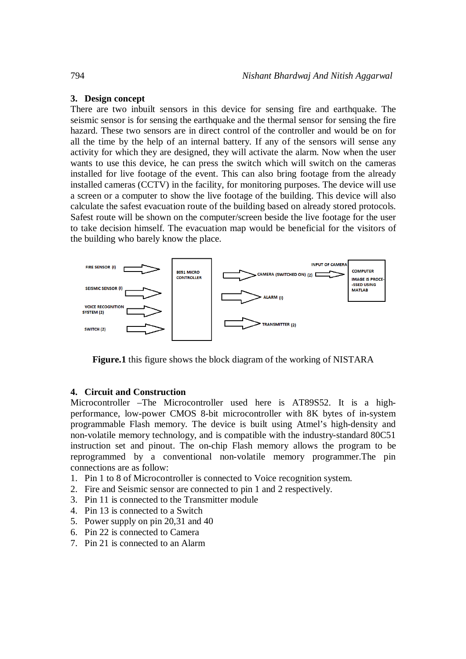# **3. Design concept**

There are two inbuilt sensors in this device for sensing fire and earthquake. The seismic sensor is for sensing the earthquake and the thermal sensor for sensing the fire hazard. These two sensors are in direct control of the controller and would be on for all the time by the help of an internal battery. If any of the sensors will sense any activity for which they are designed, they will activate the alarm. Now when the user wants to use this device, he can press the switch which will switch on the cameras installed for live footage of the event. This can also bring footage from the already installed cameras (CCTV) in the facility, for monitoring purposes. The device will use a screen or a computer to show the live footage of the building. This device will also calculate the safest evacuation route of the building based on already stored protocols. Safest route will be shown on the computer/screen beside the live footage for the user to take decision himself. The evacuation map would be beneficial for the visitors of the building who barely know the place.



**Figure.1** this figure shows the block diagram of the working of NISTARA

# **4. Circuit and Construction**

Microcontroller –The Microcontroller used here is AT89S52. It is a highperformance, low-power CMOS 8-bit microcontroller with 8K bytes of in-system programmable Flash memory. The device is built using Atmel's high-density and non-volatile memory technology, and is compatible with the industry-standard 80C51 instruction set and pinout. The on-chip Flash memory allows the program to be reprogrammed by a conventional non-volatile memory programmer.The pin connections are as follow:

- 1. Pin 1 to 8 of Microcontroller is connected to Voice recognition system.
- 2. Fire and Seismic sensor are connected to pin 1 and 2 respectively.
- 3. Pin 11 is connected to the Transmitter module
- 4. Pin 13 is connected to a Switch
- 5. Power supply on pin 20,31 and 40
- 6. Pin 22 is connected to Camera
- 7. Pin 21 is connected to an Alarm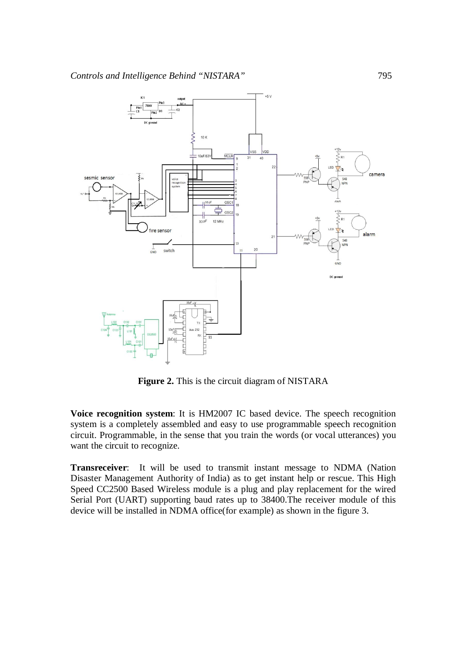

**Figure 2.** This is the circuit diagram of NISTARA

**Voice recognition system**: It is HM2007 IC based device. The speech recognition system is a completely assembled and easy to use programmable speech recognition circuit. Programmable, in the sense that you train the words (or vocal utterances) you want the circuit to recognize.

**Transreceiver:** It will be used to transmit instant message to NDMA (Nation Disaster Management Authority of India) as to get instant help or rescue. This High Speed CC2500 Based Wireless module is a plug and play replacement for the wired Serial Port (UART) supporting baud rates up to 38400.The receiver module of this device will be installed in NDMA office(for example) as shown in the figure 3.